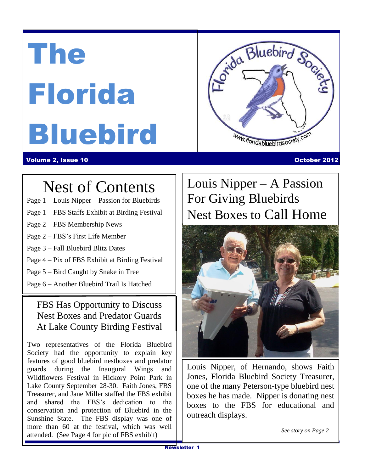# The Florida Bluebird



#### Volume 2, Issue 10 October 2012

# $Nest of Conten'$ Nest of Contents

- Page 1 Louis Nipper Passion for Bluebirds
- Page 1 FBS Staffs Exhibit at Birding Festival
- Page 2 FBS Membership News
- Page 2 FBS's First Life Member
- Page 3 Fall Bluebird Blitz Dates
- Page 4 Pix of FBS Exhibit at Birding Festival
- Page 5 Bird Caught by Snake in Tree
- Page 6 Another Bluebird Trail Is Hatched

#### FBS Has Opportunity to Discuss Nest Boxes and Predator Guards At Lake County Birding Festival

Two representatives of the Florida Bluebird Society had the opportunity to explain key features of good bluebird nestboxes and predator guards during the Inaugural Wings and Wildflowers Festival in Hickory Point Park in Lake County September 28-30. Faith Jones, FBS Treasurer, and Jane Miller staffed the FBS exhibit and shared the FBS's dedication to the conservation and protection of Bluebird in the Sunshine State. The FBS display was one of more than 60 at the festival, which was well attended. (See Page 4 for pic of FBS exhibit)

# Louis Nipper – A Passion For Giving Bluebirds Nest Boxes to Call Home



Louis Nipper, of Hernando, shows Faith Jones, Florida Bluebird Society Treasurer, one of the many Peterson-type bluebird nest boxes he has made. Nipper is donating nest boxes to the FBS for educational and outreach displays.

*See story on Page 2*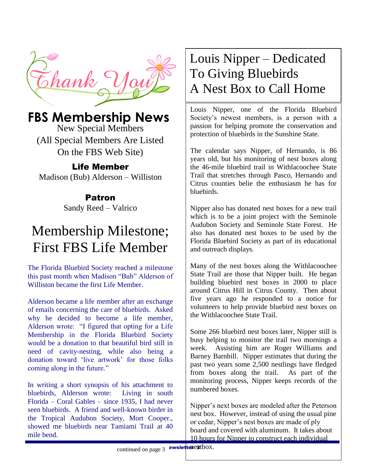

## **FBS Membership News**

New Special Members (All Special Members Are Listed On the FBS Web Site)

#### Life Member

Madison (Bub) Alderson – Williston

#### Patron

Sandy Reed – Valrico

# Membership Milestone; First FBS Life Member

The Florida Bluebird Society reached a milestone this past month when Madison "Bub" Alderson of Williston became the first Life Member.

Alderson became a life member after an exchange of emails concerning the care of bluebirds. Asked why he decided to become a life member, Alderson wrote: "I figured that opting for a Life Membership in the Florida Bluebird Society would be a donation to that beautiful bird still in need of cavity-nesting, while also being a donation toward 'live artwork' for those folks coming along in the future."

In writing a short synopsis of his attachment to bluebirds, Alderson wrote: Living in south Florida – Coral Gables – since 1935, I had never seen bluebirds. A friend and well-known birder in the Tropical Audubon Society, Mort Cooper., showed me bluebirds near Tamiami Trail at 40 mile bend.

# Louis Nipper – Dedicated To Giving Bluebirds A Nest Box to Call Home

Louis Nipper, one of the Florida Bluebird Society's newest members, is a person with a passion for helping promote the conservation and protection of bluebirds in the Sunshine State.

The calendar says Nipper, of Hernando, is 86 years old, but his monitoring of nest boxes along the 46-mile bluebird trail in Withlacoochee State Trail that stretches through Pasco, Hernando and Citrus counties belie the enthusiasm he has for bluebirds.

Nipper also has donated nest boxes for a new trail which is to be a joint project with the Seminole Audubon Society and Seminole State Forest. He also has donated nest boxes to be used by the Florida Bluebird Society as part of its educational and outreach displays.

Many of the nest boxes along the Withlacoochee State Trail are those that Nipper built. He began building bluebird nest boxes in 2000 to place around Citrus Hill in Citrus County. Then about five years ago he responded to a notice for volunteers to help provide bluebird nest boxes on the Withlacoochee State Trail.

Some 266 bluebird nest boxes later, Nipper still is busy helping to monitor the trail two mornings a week. Assisting him are Roger Williams and Barney Barnhill. Nipper estimates that during the past two years some 2,500 nestlings have fledged from boxes along the trail. As part of the monitoring process, Nipper keeps records of the numbered boxes.

Nipper's next boxes are modeled after the Peterson nest box. However, instead of using the usual pine or cedar, Nipper's nest boxes are made of ply board and covered with aluminum. It takes about 10 hours for Nipper to construct each individual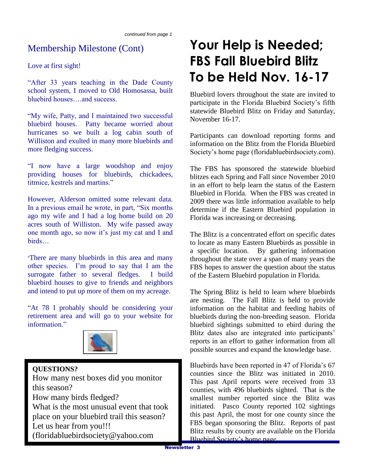#### Membership Milestone (Cont)

Love at first sight!

"After 33 years teaching in the Dade County school system, I moved to Old Homosassa, built bluebird houses….and success.

"My wife, Patty, and I maintained two successful bluebird houses. Patty became worried about hurricanes so we built a log cabin south of Williston and exulted in many more bluebirds and more fledging success.

"I now have a large woodshop and enjoy providing houses for bluebirds, chickadees, titmice, kestrels and martins."

However, Alderson omitted some relevant data. In a previous email he wrote, in part, "Six months ago my wife and I had a log home build on 20 acres south of Williston. My wife passed away one month ago, so now it's just my cat and I and birds…

"There are many bluebirds in this area and many other species. I'm proud to say that I am the surrogate father to several fledges. I build bluebird houses to give to friends and neighbors and intend to put up more of them on my acreage.

"At 78 I probably should be considering your retirement area and will go to your website for information"



#### **QUESTIONS?**

How many nest boxes did you monitor this season? How many birds fledged? What is the most unusual event that took place on your bluebird trail this season? Let us hear from you!!! (floridabluebirdsociety@yahoo.com

# **Your Help is Needed; FBS Fall Bluebird Blitz To be Held Nov. 16-17**

Bluebird lovers throughout the state are invited to participate in the Florida Bluebird Society's fifth statewide Bluebird Blitz on Friday and Saturday, November 16-17.

Participants can download reporting forms and information on the Blitz from the Florida Bluebird Society's home page (floridabluebirdsociety.com).

The FBS has sponsored the statewide bluebird blitzes each Spring and Fall since November 2010 in an effort to help learn the status of the Eastern Bluebird in Florida. When the FBS was created in 2009 there was little information available to help determine if the Eastern Bluebird population in Florida was increasing or decreasing.

The Blitz is a concentrated effort on specific dates to locate as many Eastern Bluebirds as possible in a specific location. By gathering information throughout the state over a span of many years the FBS hopes to answer the question about the status of the Eastern Bluebird population in Florida.

The Spring Blitz is held to learn where bluebirds are nesting. The Fall Blitz is held to provide information on the habitat and feeding habits of bluebirds during the non-breeding season. Florida bluebird sightings submitted to ebird during the Blitz dates also are integrated into participants' reports in an effort to gather information from all possible sources and expand the knowledge base.

Bluebirds have been reported in 47 of Florida's 67 counties since the Blitz was initiated in 2010. This past April reports were received from 33 counties, with 496 bluebirds sighted. That is the smallest number reported since the Blitz was initiated. Pasco County reported 102 sightings this past April, the most for one county since the FBS began sponsoring the Blitz. Reports of past Blitz results by county are available on the Florida Bluebird Society's home page.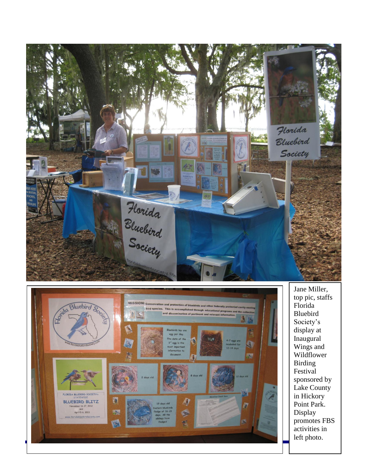



Jane Miller, top pi c, staffs Florida Bluebird Society's display at Inaugural Wings and Wildflower Birding Festival sponsored by Lake County in Hickory Point Park. Display promotes FBS activities in left photo .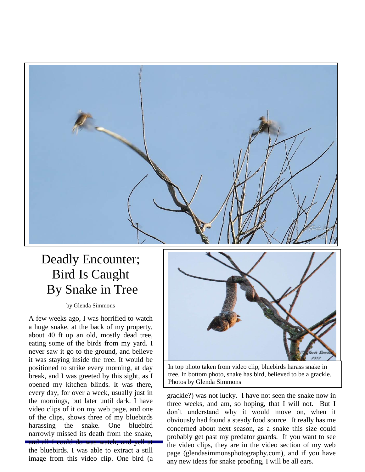

## Deadly Encounter; Bird Is Caught By Snake in Tree

by Glenda Simmons

A few weeks ago, I was horrified to watch a huge snake, at the back of my property, about 40 ft up an old, mostly dead tree, eating some of the birds from my yard. I never saw it go to the ground, and believe it was staying inside the tree. It would be positioned to strike every morning, at day break, and I was greeted by this sight, as I opened my kitchen blinds. It was there, every day, for over a week, usually just in the mornings, but later until dark. I have video clips of it on my web page, and one of the clips, shows three of my bluebirds harassing the snake. One bluebird narrowly missed its death from the snake, and all I could do was watch, and yell at

the bluebirds. I was able to extract a still image from this video clip. One bird (a



In top photo taken from video clip, bluebirds harass snake in tree. In bottom photo, snake has bird, believed to be a grackle. Photos by Glenda Simmons

the video clips, they are in the video section of my web grackle?) was not lucky. I have not seen the snake now in three weeks, and am, so hoping, that I will not. But I don't understand why it would move on, when it obviously had found a steady food source. It really has me concerned about next season, as a snake this size could probably get past my predator guards. If you want to see page (glendasimmonsphotography.com), and if you have any new ideas for snake proofing, I will be all ears.